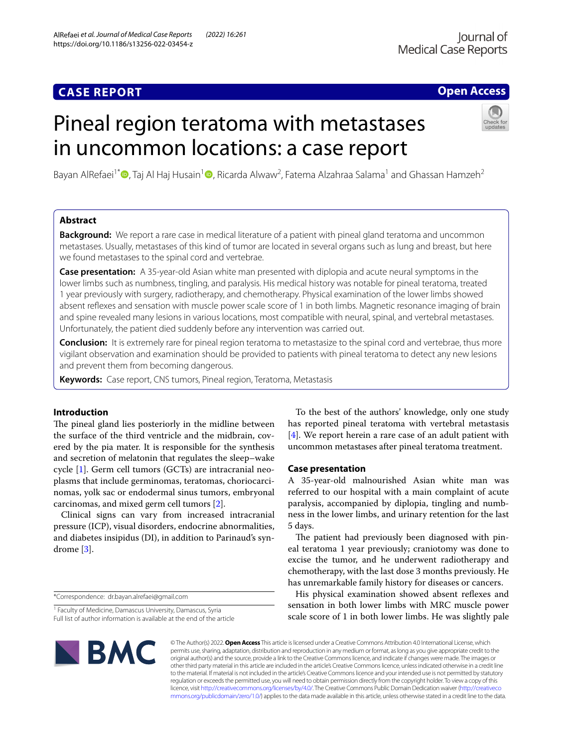# **CASE REPORT**

## **Open Access**

# Pineal region teratoma with metastases in uncommon locations: a case report



Bayan AlRefaei<sup>1\*</sup> <sup>D</sup>[,](https://orcid.org/0000-0002-1430-7180) Taj Al Haj Husain<sup>1</sup> D, Ricarda Alwaw<sup>2</sup>, Fatema Alzahraa Salama<sup>1</sup> and Ghassan Hamzeh<sup>2</sup>

## **Abstract**

**Background:** We report a rare case in medical literature of a patient with pineal gland teratoma and uncommon metastases. Usually, metastases of this kind of tumor are located in several organs such as lung and breast, but here we found metastases to the spinal cord and vertebrae.

**Case presentation:** A 35-year-old Asian white man presented with diplopia and acute neural symptoms in the lower limbs such as numbness, tingling, and paralysis. His medical history was notable for pineal teratoma, treated 1 year previously with surgery, radiotherapy, and chemotherapy. Physical examination of the lower limbs showed absent refexes and sensation with muscle power scale score of 1 in both limbs. Magnetic resonance imaging of brain and spine revealed many lesions in various locations, most compatible with neural, spinal, and vertebral metastases. Unfortunately, the patient died suddenly before any intervention was carried out.

**Conclusion:** It is extremely rare for pineal region teratoma to metastasize to the spinal cord and vertebrae, thus more vigilant observation and examination should be provided to patients with pineal teratoma to detect any new lesions and prevent them from becoming dangerous.

**Keywords:** Case report, CNS tumors, Pineal region, Teratoma, Metastasis

## **Introduction**

The pineal gland lies posteriorly in the midline between the surface of the third ventricle and the midbrain, covered by the pia mater. It is responsible for the synthesis and secretion of melatonin that regulates the sleep–wake cycle [\[1](#page-3-0)]. Germ cell tumors (GCTs) are intracranial neoplasms that include germinomas, teratomas, choriocarcinomas, yolk sac or endodermal sinus tumors, embryonal carcinomas, and mixed germ cell tumors [\[2](#page-3-1)].

Clinical signs can vary from increased intracranial pressure (ICP), visual disorders, endocrine abnormalities, and diabetes insipidus (DI), in addition to Parinaud's syndrome [[3\]](#page-3-2).

\*Correspondence: dr.bayan.alrefaei@gmail.com

To the best of the authors' knowledge, only one study has reported pineal teratoma with vertebral metastasis [[4\]](#page-3-3). We report herein a rare case of an adult patient with uncommon metastases after pineal teratoma treatment.

## **Case presentation**

A 35-year-old malnourished Asian white man was referred to our hospital with a main complaint of acute paralysis, accompanied by diplopia, tingling and numbness in the lower limbs, and urinary retention for the last 5 days.

The patient had previously been diagnosed with pineal teratoma 1 year previously; craniotomy was done to excise the tumor, and he underwent radiotherapy and chemotherapy, with the last dose 3 months previously. He has unremarkable family history for diseases or cancers.

His physical examination showed absent refexes and sensation in both lower limbs with MRC muscle power scale score of 1 in both lower limbs. He was slightly pale



© The Author(s) 2022. **Open Access** This article is licensed under a Creative Commons Attribution 4.0 International License, which permits use, sharing, adaptation, distribution and reproduction in any medium or format, as long as you give appropriate credit to the original author(s) and the source, provide a link to the Creative Commons licence, and indicate if changes were made. The images or other third party material in this article are included in the article's Creative Commons licence, unless indicated otherwise in a credit line to the material. If material is not included in the article's Creative Commons licence and your intended use is not permitted by statutory regulation or exceeds the permitted use, you will need to obtain permission directly from the copyright holder. To view a copy of this licence, visit [http://creativecommons.org/licenses/by/4.0/.](http://creativecommons.org/licenses/by/4.0/) The Creative Commons Public Domain Dedication waiver ([http://creativeco](http://creativecommons.org/publicdomain/zero/1.0/) [mmons.org/publicdomain/zero/1.0/](http://creativecommons.org/publicdomain/zero/1.0/)) applies to the data made available in this article, unless otherwise stated in a credit line to the data.

<sup>&</sup>lt;sup>1</sup> Faculty of Medicine, Damascus University, Damascus, Syria Full list of author information is available at the end of the article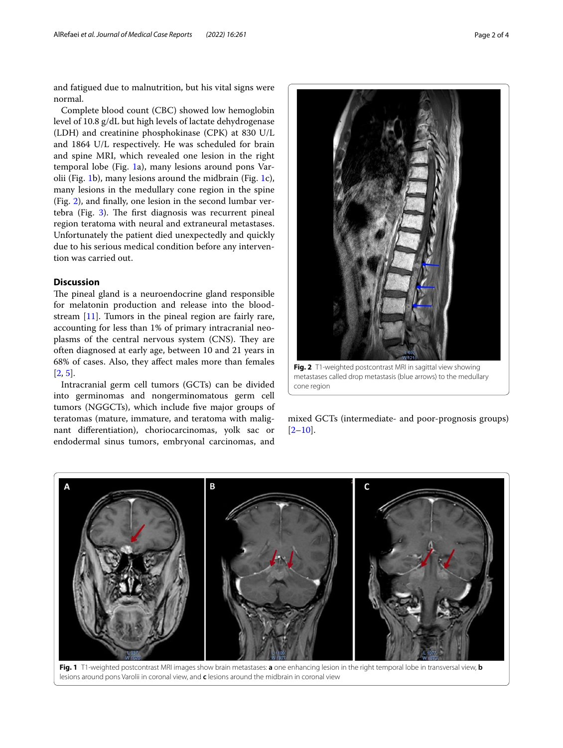and fatigued due to malnutrition, but his vital signs were normal.

Complete blood count (CBC) showed low hemoglobin level of 10.8 g/dL but high levels of lactate dehydrogenase (LDH) and creatinine phosphokinase (CPK) at 830 U/L and 1864 U/L respectively. He was scheduled for brain and spine MRI, which revealed one lesion in the right temporal lobe (Fig. [1](#page-1-0)a), many lesions around pons Varolii (Fig. [1b](#page-1-0)), many lesions around the midbrain (Fig. [1c](#page-1-0)), many lesions in the medullary cone region in the spine (Fig. [2\)](#page-1-1), and fnally, one lesion in the second lumbar vertebra (Fig.  $3$ ). The first diagnosis was recurrent pineal region teratoma with neural and extraneural metastases. Unfortunately the patient died unexpectedly and quickly due to his serious medical condition before any intervention was carried out.

## **Discussion**

The pineal gland is a neuroendocrine gland responsible for melatonin production and release into the bloodstream [\[11](#page-3-4)]. Tumors in the pineal region are fairly rare, accounting for less than 1% of primary intracranial neoplasms of the central nervous system (CNS). They are often diagnosed at early age, between 10 and 21 years in 68% of cases. Also, they afect males more than females  $[2, 5]$  $[2, 5]$  $[2, 5]$  $[2, 5]$ .

Intracranial germ cell tumors (GCTs) can be divided into germinomas and nongerminomatous germ cell tumors (NGGCTs), which include fve major groups of teratomas (mature, immature, and teratoma with malignant diferentiation), choriocarcinomas, yolk sac or endodermal sinus tumors, embryonal carcinomas, and



cone region

<span id="page-1-1"></span>mixed GCTs (intermediate- and poor-prognosis groups)  $[2-10]$  $[2-10]$ .



<span id="page-1-0"></span>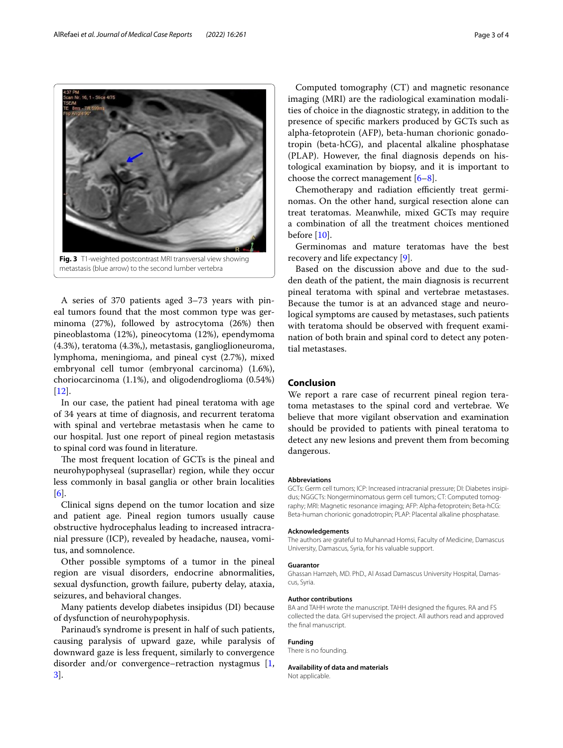A series of 370 patients aged 3–73 years with pineal tumors found that the most common type was germinoma (27%), followed by astrocytoma (26%) then pineoblastoma (12%), pineocytoma (12%), ependymoma (4.3%), teratoma (4.3%,), metastasis, ganglioglioneuroma, lymphoma, meningioma, and pineal cyst (2.7%), mixed embryonal cell tumor (embryonal carcinoma) (1.6%), choriocarcinoma (1.1%), and oligodendroglioma (0.54%) [[12\]](#page-3-7).

In our case, the patient had pineal teratoma with age of 34 years at time of diagnosis, and recurrent teratoma with spinal and vertebrae metastasis when he came to our hospital. Just one report of pineal region metastasis to spinal cord was found in literature.

The most frequent location of GCTs is the pineal and neurohypophyseal (suprasellar) region, while they occur less commonly in basal ganglia or other brain localities [[6\]](#page-3-8).

Clinical signs depend on the tumor location and size and patient age. Pineal region tumors usually cause obstructive hydrocephalus leading to increased intracranial pressure (ICP), revealed by headache, nausea, vomitus, and somnolence.

Other possible symptoms of a tumor in the pineal region are visual disorders, endocrine abnormalities, sexual dysfunction, growth failure, puberty delay, ataxia, seizures, and behavioral changes.

Many patients develop diabetes insipidus (DI) because of dysfunction of neurohypophysis.

Parinaud's syndrome is present in half of such patients, causing paralysis of upward gaze, while paralysis of downward gaze is less frequent, similarly to convergence disorder and/or convergence–retraction nystagmus  $[1,$  $[1,$ [3\]](#page-3-2).

Computed tomography (CT) and magnetic resonance imaging (MRI) are the radiological examination modalities of choice in the diagnostic strategy, in addition to the presence of specifc markers produced by GCTs such as alpha-fetoprotein (AFP), beta-human chorionic gonadotropin (beta-hCG), and placental alkaline phosphatase (PLAP). However, the fnal diagnosis depends on histological examination by biopsy, and it is important to choose the correct management  $[6-8]$  $[6-8]$ .

Chemotherapy and radiation efficiently treat germinomas. On the other hand, surgical resection alone can treat teratomas. Meanwhile, mixed GCTs may require a combination of all the treatment choices mentioned before [\[10\]](#page-3-6).

Germinomas and mature teratomas have the best recovery and life expectancy [\[9](#page-3-10)].

Based on the discussion above and due to the sudden death of the patient, the main diagnosis is recurrent pineal teratoma with spinal and vertebrae metastases. Because the tumor is at an advanced stage and neurological symptoms are caused by metastases, such patients with teratoma should be observed with frequent examination of both brain and spinal cord to detect any potential metastases.

## **Conclusion**

We report a rare case of recurrent pineal region teratoma metastases to the spinal cord and vertebrae. We believe that more vigilant observation and examination should be provided to patients with pineal teratoma to detect any new lesions and prevent them from becoming dangerous.

#### **Abbreviations**

GCTs: Germ cell tumors; ICP: Increased intracranial pressure; DI: Diabetes insipidus; NGGCTs: Nongerminomatous germ cell tumors; CT: Computed tomography; MRI: Magnetic resonance imaging; AFP: Alpha-fetoprotein; Beta-hCG: Beta-human chorionic gonadotropin; PLAP: Placental alkaline phosphatase.

#### **Acknowledgements**

The authors are grateful to Muhannad Homsi, Faculty of Medicine, Damascus University, Damascus, Syria, for his valuable support.

#### **Guarantor**

Ghassan Hamzeh, MD. PhD., Al Assad Damascus University Hospital, Damascus, Syria.

#### **Author contributions**

BA and TAHH wrote the manuscript. TAHH designed the fgures. RA and FS collected the data. GH supervised the project. All authors read and approved the fnal manuscript.

#### **Funding**

There is no founding.

#### **Availability of data and materials**

Not applicable.

<span id="page-2-0"></span>